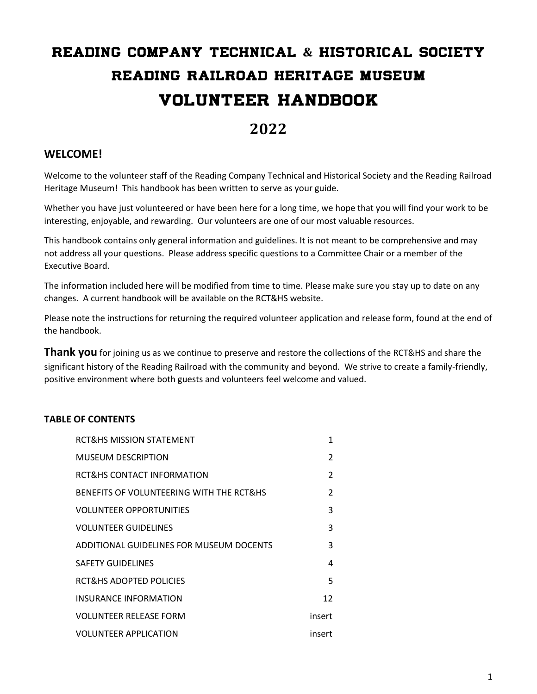# READING COMPANY TECHNICAL **&** HISTORICAL SOCIETY READING RAILROAD HERITAGE MUSEUM VOLUNTEER HANDBOOK

# **2022**

# **WELCOME!**

Welcome to the volunteer staff of the Reading Company Technical and Historical Society and the Reading Railroad Heritage Museum! This handbook has been written to serve as your guide.

Whether you have just volunteered or have been here for a long time, we hope that you will find your work to be interesting, enjoyable, and rewarding. Our volunteers are one of our most valuable resources.

This handbook contains only general information and guidelines. It is not meant to be comprehensive and may not address all your questions. Please address specific questions to a Committee Chair or a member of the Executive Board.

The information included here will be modified from time to time. Please make sure you stay up to date on any changes. A current handbook will be available on the RCT&HS website.

Please note the instructions for returning the required volunteer application and release form, found at the end of the handbook.

**Thank you** for joining us as we continue to preserve and restore the collections of the RCT&HS and share the significant history of the Reading Railroad with the community and beyond. We strive to create a family-friendly, positive environment where both guests and volunteers feel welcome and valued.

# **TABLE OF CONTENTS**

| <b>RCT&amp;HS MISSION STATEMENT</b>      | 1      |
|------------------------------------------|--------|
| MUSEUM DESCRIPTION                       | 2      |
| RCT&HS CONTACT INFORMATION               | 2      |
| BENEFITS OF VOLUNTEERING WITH THE RCT&HS | 2      |
| <b>VOLUNTEER OPPORTUNITIES</b>           | 3      |
| <b>VOLUNTEER GUIDELINES</b>              | 3      |
| ADDITIONAL GUIDELINES FOR MUSEUM DOCENTS | 3      |
| <b>SAFETY GUIDELINES</b>                 | 4      |
| RCT&HS ADOPTED POLICIES                  | 5      |
| INSURANCE INFORMATION                    | 12     |
| <b>VOLUNTEER RELEASE FORM</b>            | insert |
| <b>VOLUNTEER APPLICATION</b>             | insert |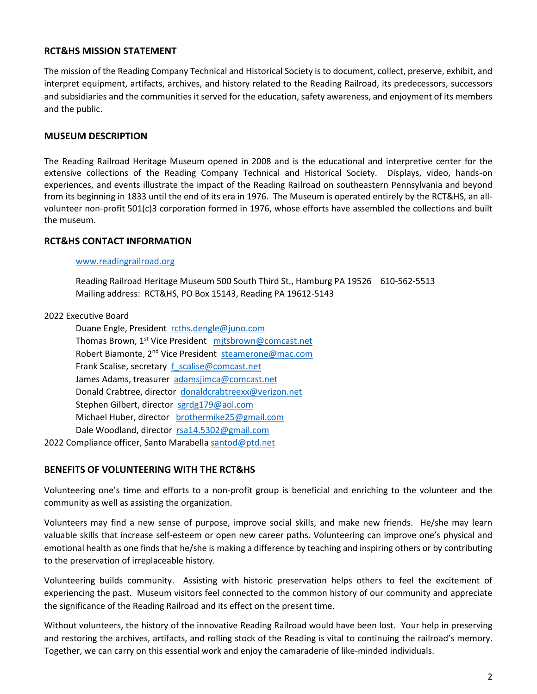#### **RCT&HS MISSION STATEMENT**

The mission of the Reading Company Technical and Historical Society is to document, collect, preserve, exhibit, and interpret equipment, artifacts, archives, and history related to the Reading Railroad, its predecessors, successors and subsidiaries and the communities it served for the education, safety awareness, and enjoyment of its members and the public.

#### **MUSEUM DESCRIPTION**

The Reading Railroad Heritage Museum opened in 2008 and is the educational and interpretive center for the extensive collections of the Reading Company Technical and Historical Society. Displays, video, hands-on experiences, and events illustrate the impact of the Reading Railroad on southeastern Pennsylvania and beyond from its beginning in 1833 until the end of its era in 1976. The Museum is operated entirely by the RCT&HS, an allvolunteer non-profit 501(c)3 corporation formed in 1976, whose efforts have assembled the collections and built the museum.

#### **RCT&HS CONTACT INFORMATION**

#### [www.readingrailroad.org](http://www.readingrailroad.org/)

Reading Railroad Heritage Museum 500 South Third St., Hamburg PA 19526 610-562-5513 Mailing address: RCT&HS, PO Box 15143, Reading PA 19612-5143

#### 2022 Executive Board

Duane Engle, President [rcths.dengle@juno.com](mailto:rcths.dengle@juno.com) Thomas Brown, 1<sup>st</sup> Vice President mitsbrown@comcast.net Robert Biamonte, 2nd Vice President [steamerone@mac.com](mailto:steamerone@mac.com) Frank Scalise, secretary f scalise@comcast.net James Adams, treasurer [adamsjimca@comcast.net](mailto:adamsjimca@comcast.net) Donald Crabtree, director [donaldcrabtreexx@verizon.net](mailto:donaldcrabtreexx@verizon.net) Stephen Gilbert, director [sgrdg179@aol.com](mailto:sgrdg179@aol.com) Michael Huber, director [brothermike25@gmail.com](mailto:brothermike25@gmail.com) Dale Woodland, director [rsa14.5302@gmail.com](mailto:rsa14.5302@gmail.com)

2022 Compliance officer, Santo Marabella [santod@ptd.net](mailto:santod@ptd.net)

#### **BENEFITS OF VOLUNTEERING WITH THE RCT&HS**

Volunteering one's time and efforts to a non-profit group is beneficial and enriching to the volunteer and the community as well as assisting the organization.

Volunteers may find a new sense of purpose, improve social skills, and make new friends. He/she may learn valuable skills that increase self-esteem or open new career paths. Volunteering can improve one's physical and emotional health as one finds that he/she is making a difference by teaching and inspiring others or by contributing to the preservation of irreplaceable history.

Volunteering builds community. Assisting with historic preservation helps others to feel the excitement of experiencing the past. Museum visitors feel connected to the common history of our community and appreciate the significance of the Reading Railroad and its effect on the present time.

Without volunteers, the history of the innovative Reading Railroad would have been lost. Your help in preserving and restoring the archives, artifacts, and rolling stock of the Reading is vital to continuing the railroad's memory. Together, we can carry on this essential work and enjoy the camaraderie of like-minded individuals.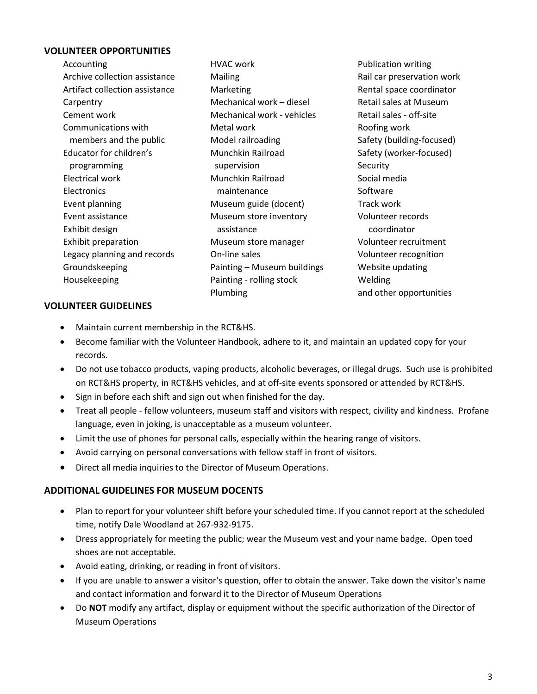# **VOLUNTEER OPPORTUNITIES**

| Accounting                     | HVAC work                   |
|--------------------------------|-----------------------------|
| Archive collection assistance  | Mailing                     |
| Artifact collection assistance | Marketing                   |
| Carpentry                      | Mechanical work - diesel    |
| Cement work                    | Mechanical work - vehicles  |
| Communications with            | Metal work                  |
| members and the public         | Model railroading           |
| Educator for children's        | Munchkin Railroad           |
| programming                    | supervision                 |
| Electrical work                | Munchkin Railroad           |
| Electronics                    | maintenance                 |
| Event planning                 | Museum guide (docent)       |
| Event assistance               | Museum store inventory      |
| Exhibit design                 | assistance                  |
| Exhibit preparation            | Museum store manager        |
| Legacy planning and records    | On-line sales               |
| Groundskeeping                 | Painting - Museum buildings |
| Housekeeping                   | Painting - rolling stock    |
|                                | Plumbing                    |

Publication writing Rail car preservation work Rental space coordinator Retail sales at Museum Retail sales - off-site Roofing work Safety (building-focused) Safety (worker-focused) **Security** Social media Software Track work Volunteer records coordinator Volunteer recruitment Volunteer recognition Website updating **Welding** and other opportunities

#### **VOLUNTEER GUIDELINES**

- Maintain current membership in the RCT&HS.
- Become familiar with the Volunteer Handbook, adhere to it, and maintain an updated copy for your records.
- Do not use tobacco products, vaping products, alcoholic beverages, or illegal drugs. Such use is prohibited on RCT&HS property, in RCT&HS vehicles, and at off-site events sponsored or attended by RCT&HS.
- Sign in before each shift and sign out when finished for the day.
- Treat all people fellow volunteers, museum staff and visitors with respect, civility and kindness. Profane language, even in joking, is unacceptable as a museum volunteer.
- Limit the use of phones for personal calls, especially within the hearing range of visitors.
- Avoid carrying on personal conversations with fellow staff in front of visitors.
- Direct all media inquiries to the Director of Museum Operations.

# **ADDITIONAL GUIDELINES FOR MUSEUM DOCENTS**

- Plan to report for your volunteer shift before your scheduled time. If you cannot report at the scheduled time, notify Dale Woodland at 267-932-9175.
- Dress appropriately for meeting the public; wear the Museum vest and your name badge. Open toed shoes are not acceptable.
- Avoid eating, drinking, or reading in front of visitors.
- If you are unable to answer a visitor's question, offer to obtain the answer. Take down the visitor's name and contact information and forward it to the Director of Museum Operations
- Do **NOT** modify any artifact, display or equipment without the specific authorization of the Director of Museum Operations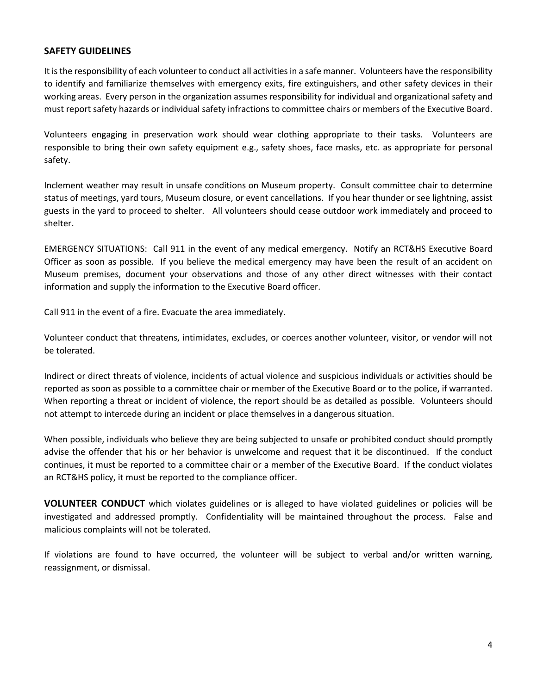#### **SAFETY GUIDELINES**

It is the responsibility of each volunteer to conduct all activities in a safe manner. Volunteers have the responsibility to identify and familiarize themselves with emergency exits, fire extinguishers, and other safety devices in their working areas. Every person in the organization assumes responsibility for individual and organizational safety and must report safety hazards or individual safety infractions to committee chairs or members of the Executive Board.

Volunteers engaging in preservation work should wear clothing appropriate to their tasks. Volunteers are responsible to bring their own safety equipment e.g., safety shoes, face masks, etc. as appropriate for personal safety.

Inclement weather may result in unsafe conditions on Museum property. Consult committee chair to determine status of meetings, yard tours, Museum closure, or event cancellations. If you hear thunder or see lightning, assist guests in the yard to proceed to shelter. All volunteers should cease outdoor work immediately and proceed to shelter.

EMERGENCY SITUATIONS: Call 911 in the event of any medical emergency. Notify an RCT&HS Executive Board Officer as soon as possible. If you believe the medical emergency may have been the result of an accident on Museum premises, document your observations and those of any other direct witnesses with their contact information and supply the information to the Executive Board officer.

Call 911 in the event of a fire. Evacuate the area immediately.

Volunteer conduct that threatens, intimidates, excludes, or coerces another volunteer, visitor, or vendor will not be tolerated.

Indirect or direct threats of violence, incidents of actual violence and suspicious individuals or activities should be reported as soon as possible to a committee chair or member of the Executive Board or to the police, if warranted. When reporting a threat or incident of violence, the report should be as detailed as possible. Volunteers should not attempt to intercede during an incident or place themselves in a dangerous situation.

When possible, individuals who believe they are being subjected to unsafe or prohibited conduct should promptly advise the offender that his or her behavior is unwelcome and request that it be discontinued. If the conduct continues, it must be reported to a committee chair or a member of the Executive Board. If the conduct violates an RCT&HS policy, it must be reported to the compliance officer.

**VOLUNTEER CONDUCT** which violates guidelines or is alleged to have violated guidelines or policies will be investigated and addressed promptly. Confidentiality will be maintained throughout the process. False and malicious complaints will not be tolerated.

If violations are found to have occurred, the volunteer will be subject to verbal and/or written warning, reassignment, or dismissal.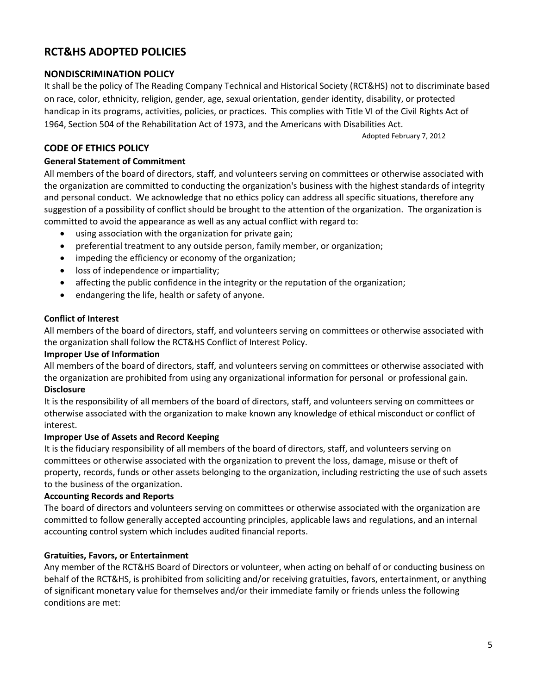# **RCT&HS ADOPTED POLICIES**

# **NONDISCRIMINATION POLICY**

It shall be the policy of The Reading Company Technical and Historical Society (RCT&HS) not to discriminate based on race, color, ethnicity, religion, gender, age, sexual orientation, gender identity, disability, or protected handicap in its programs, activities, policies, or practices. This complies with Title VI of the Civil Rights Act of 1964, Section 504 of the Rehabilitation Act of 1973, and the Americans with Disabilities Act.

Adopted February 7, 2012

# **CODE OF ETHICS POLICY**

# **General Statement of Commitment**

All members of the board of directors, staff, and volunteers serving on committees or otherwise associated with the organization are committed to conducting the organization's business with the highest standards of integrity and personal conduct. We acknowledge that no ethics policy can address all specific situations, therefore any suggestion of a possibility of conflict should be brought to the attention of the organization. The organization is committed to avoid the appearance as well as any actual conflict with regard to:

- using association with the organization for private gain;
- preferential treatment to any outside person, family member, or organization;
- impeding the efficiency or economy of the organization;
- loss of independence or impartiality;
- affecting the public confidence in the integrity or the reputation of the organization;
- endangering the life, health or safety of anyone.

#### **Conflict of Interest**

All members of the board of directors, staff, and volunteers serving on committees or otherwise associated with the organization shall follow the RCT&HS Conflict of Interest Policy.

#### **Improper Use of Information**

All members of the board of directors, staff, and volunteers serving on committees or otherwise associated with the organization are prohibited from using any organizational information for personal or professional gain. **Disclosure**

It is the responsibility of all members of the board of directors, staff, and volunteers serving on committees or otherwise associated with the organization to make known any knowledge of ethical misconduct or conflict of interest.

# **Improper Use of Assets and Record Keeping**

It is the fiduciary responsibility of all members of the board of directors, staff, and volunteers serving on committees or otherwise associated with the organization to prevent the loss, damage, misuse or theft of property, records, funds or other assets belonging to the organization, including restricting the use of such assets to the business of the organization.

# **Accounting Records and Reports**

The board of directors and volunteers serving on committees or otherwise associated with the organization are committed to follow generally accepted accounting principles, applicable laws and regulations, and an internal accounting control system which includes audited financial reports.

# **Gratuities, Favors, or Entertainment**

Any member of the RCT&HS Board of Directors or volunteer, when acting on behalf of or conducting business on behalf of the RCT&HS, is prohibited from soliciting and/or receiving gratuities, favors, entertainment, or anything of significant monetary value for themselves and/or their immediate family or friends unless the following conditions are met: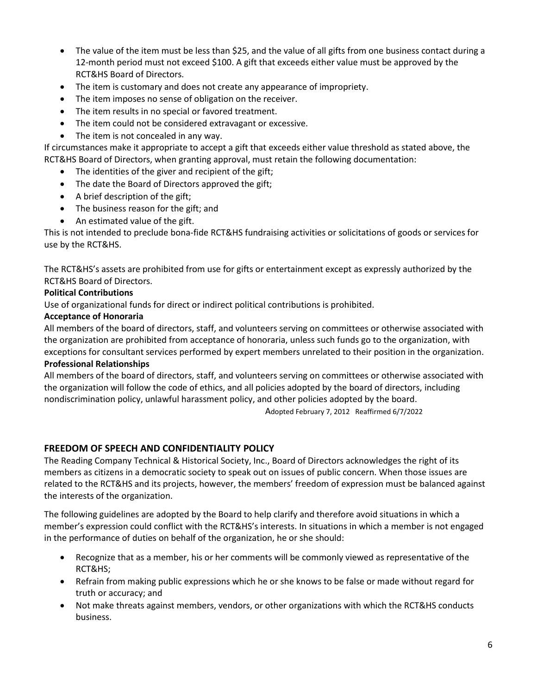- The value of the item must be less than \$25, and the value of all gifts from one business contact during a 12-month period must not exceed \$100. A gift that exceeds either value must be approved by the RCT&HS Board of Directors.
- The item is customary and does not create any appearance of impropriety.
- The item imposes no sense of obligation on the receiver.
- The item results in no special or favored treatment.
- The item could not be considered extravagant or excessive.
- The item is not concealed in any way.

If circumstances make it appropriate to accept a gift that exceeds either value threshold as stated above, the RCT&HS Board of Directors, when granting approval, must retain the following documentation:

- The identities of the giver and recipient of the gift;
- The date the Board of Directors approved the gift;
- A brief description of the gift;
- The business reason for the gift; and
- An estimated value of the gift.

This is not intended to preclude bona-fide RCT&HS fundraising activities or solicitations of goods or services for use by the RCT&HS.

The RCT&HS's assets are prohibited from use for gifts or entertainment except as expressly authorized by the RCT&HS Board of Directors.

#### **Political Contributions**

Use of organizational funds for direct or indirect political contributions is prohibited.

#### **Acceptance of Honoraria**

All members of the board of directors, staff, and volunteers serving on committees or otherwise associated with the organization are prohibited from acceptance of honoraria, unless such funds go to the organization, with exceptions for consultant services performed by expert members unrelated to their position in the organization.

#### **Professional Relationships**

All members of the board of directors, staff, and volunteers serving on committees or otherwise associated with the organization will follow the code of ethics, and all policies adopted by the board of directors, including nondiscrimination policy, unlawful harassment policy, and other policies adopted by the board.

Adopted February 7, 2012 Reaffirmed 6/7/2022

# **FREEDOM OF SPEECH AND CONFIDENTIALITY POLICY**

The Reading Company Technical & Historical Society, Inc., Board of Directors acknowledges the right of its members as citizens in a democratic society to speak out on issues of public concern. When those issues are related to the RCT&HS and its projects, however, the members' freedom of expression must be balanced against the interests of the organization.

The following guidelines are adopted by the Board to help clarify and therefore avoid situations in which a member's expression could conflict with the RCT&HS's interests. In situations in which a member is not engaged in the performance of duties on behalf of the organization, he or she should:

- Recognize that as a member, his or her comments will be commonly viewed as representative of the RCT&HS;
- Refrain from making public expressions which he or she knows to be false or made without regard for truth or accuracy; and
- Not make threats against members, vendors, or other organizations with which the RCT&HS conducts business.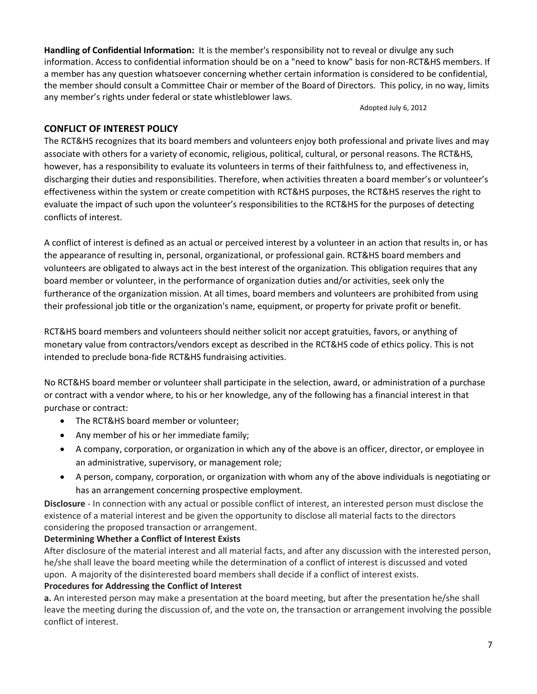**Handling of Confidential Information:** It is the member's responsibility not to reveal or divulge any such information. Access to confidential information should be on a "need to know" basis for non-RCT&HS members. If a member has any question whatsoever concerning whether certain information is considered to be confidential, the member should consult a Committee Chair or member of the Board of Directors. This policy, in no way, limits any member's rights under federal or state whistleblower laws.

Adopted July 6, 2012

# **CONFLICT OF INTEREST POLICY**

The RCT&HS recognizes that its board members and volunteers enjoy both professional and private lives and may associate with others for a variety of economic, religious, political, cultural, or personal reasons. The RCT&HS, however, has a responsibility to evaluate its volunteers in terms of their faithfulness to, and effectiveness in, discharging their duties and responsibilities. Therefore, when activities threaten a board member's or volunteer's effectiveness within the system or create competition with RCT&HS purposes, the RCT&HS reserves the right to evaluate the impact of such upon the volunteer's responsibilities to the RCT&HS for the purposes of detecting conflicts of interest.

A conflict of interest is defined as an actual or perceived interest by a volunteer in an action that results in, or has the appearance of resulting in, personal, organizational, or professional gain. RCT&HS board members and volunteers are obligated to always act in the best interest of the organization. This obligation requires that any board member or volunteer, in the performance of organization duties and/or activities, seek only the furtherance of the organization mission. At all times, board members and volunteers are prohibited from using their professional job title or the organization's name, equipment, or property for private profit or benefit.

RCT&HS board members and volunteers should neither solicit nor accept gratuities, favors, or anything of monetary value from contractors/vendors except as described in the RCT&HS code of ethics policy. This is not intended to preclude bona-fide RCT&HS fundraising activities.

No RCT&HS board member or volunteer shall participate in the selection, award, or administration of a purchase or contract with a vendor where, to his or her knowledge, any of the following has a financial interest in that purchase or contract:

- The RCT&HS board member or volunteer;
- Any member of his or her immediate family;
- A company, corporation, or organization in which any of the above is an officer, director, or employee in an administrative, supervisory, or management role;
- A person, company, corporation, or organization with whom any of the above individuals is negotiating or has an arrangement concerning prospective employment.

**Disclosure** - In connection with any actual or possible conflict of interest, an interested person must disclose the existence of a material interest and be given the opportunity to disclose all material facts to the directors considering the proposed transaction or arrangement.

# **Determining Whether a Conflict of Interest Exists**

After disclosure of the material interest and all material facts, and after any discussion with the interested person, he/she shall leave the board meeting while the determination of a conflict of interest is discussed and voted upon. A majority of the disinterested board members shall decide if a conflict of interest exists.

# **Procedures for Addressing the Conflict of Interest**

**a.** An interested person may make a presentation at the board meeting, but after the presentation he/she shall leave the meeting during the discussion of, and the vote on, the transaction or arrangement involving the possible conflict of interest.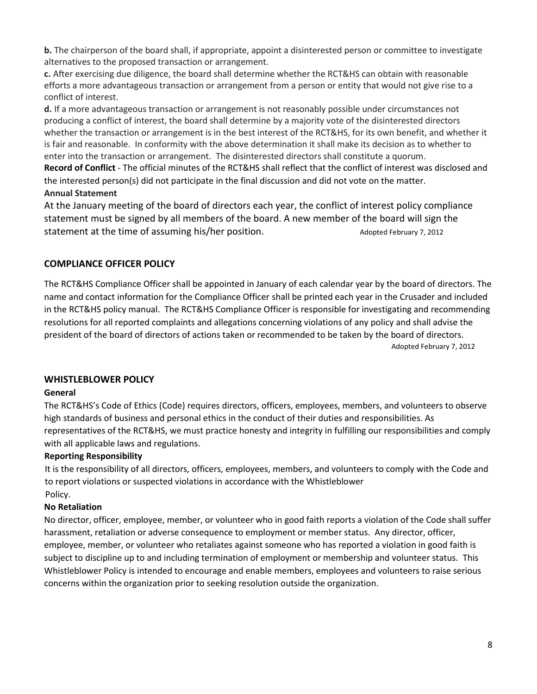**b.** The chairperson of the board shall, if appropriate, appoint a disinterested person or committee to investigate alternatives to the proposed transaction or arrangement.

**c.** After exercising due diligence, the board shall determine whether the RCT&HS can obtain with reasonable efforts a more advantageous transaction or arrangement from a person or entity that would not give rise to a conflict of interest.

**d.** If a more advantageous transaction or arrangement is not reasonably possible under circumstances not producing a conflict of interest, the board shall determine by a majority vote of the disinterested directors whether the transaction or arrangement is in the best interest of the RCT&HS, for its own benefit, and whether it is fair and reasonable. In conformity with the above determination it shall make its decision as to whether to enter into the transaction or arrangement. The disinterested directors shall constitute a quorum.

**Record of Conflict** - The official minutes of the RCT&HS shall reflect that the conflict of interest was disclosed and the interested person(s) did not participate in the final discussion and did not vote on the matter. **Annual Statement**

At the January meeting of the board of directors each year, the conflict of interest policy compliance statement must be signed by all members of the board. A new member of the board will sign the statement at the time of assuming his/her position. The manufacture of February 7, 2012

# **COMPLIANCE OFFICER POLICY**

The RCT&HS Compliance Officer shall be appointed in January of each calendar year by the board of directors. The name and contact information for the Compliance Officer shall be printed each year in the Crusader and included in the RCT&HS policy manual. The RCT&HS Compliance Officer is responsible for investigating and recommending resolutions for all reported complaints and allegations concerning violations of any policy and shall advise the president of the board of directors of actions taken or recommended to be taken by the board of directors. Adopted February 7, 2012

# **WHISTLEBLOWER POLICY**

# **General**

The RCT&HS's Code of Ethics (Code) requires directors, officers, employees, members, and volunteers to observe high standards of business and personal ethics in the conduct of their duties and responsibilities. As representatives of the RCT&HS, we must practice honesty and integrity in fulfilling our responsibilities and comply with all applicable laws and regulations.

# **Reporting Responsibility**

It is the responsibility of all directors, officers, employees, members, and volunteers to comply with the Code and to report violations or suspected violations in accordance with the Whistleblower Policy.

# **No Retaliation**

No director, officer, employee, member, or volunteer who in good faith reports a violation of the Code shall suffer harassment, retaliation or adverse consequence to employment or member status. Any director, officer, employee, member, or volunteer who retaliates against someone who has reported a violation in good faith is subject to discipline up to and including termination of employment or membership and volunteer status. This Whistleblower Policy is intended to encourage and enable members, employees and volunteers to raise serious concerns within the organization prior to seeking resolution outside the organization.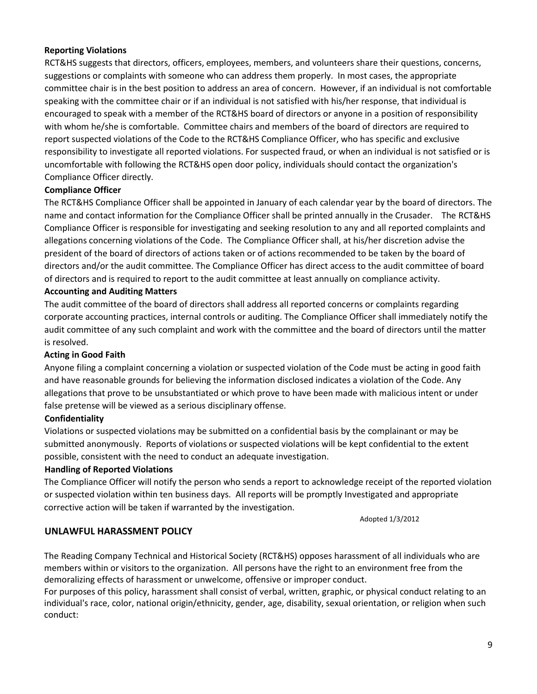#### **Reporting Violations**

RCT&HS suggests that directors, officers, employees, members, and volunteers share their questions, concerns, suggestions or complaints with someone who can address them properly. In most cases, the appropriate committee chair is in the best position to address an area of concern. However, if an individual is not comfortable speaking with the committee chair or if an individual is not satisfied with his/her response, that individual is encouraged to speak with a member of the RCT&HS board of directors or anyone in a position of responsibility with whom he/she is comfortable. Committee chairs and members of the board of directors are required to report suspected violations of the Code to the RCT&HS Compliance Officer, who has specific and exclusive responsibility to investigate all reported violations. For suspected fraud, or when an individual is not satisfied or is uncomfortable with following the RCT&HS open door policy, individuals should contact the organization's Compliance Officer directly.

#### **Compliance Officer**

The RCT&HS Compliance Officer shall be appointed in January of each calendar year by the board of directors. The name and contact information for the Compliance Officer shall be printed annually in the Crusader. The RCT&HS Compliance Officer is responsible for investigating and seeking resolution to any and all reported complaints and allegations concerning violations of the Code. The Compliance Officer shall, at his/her discretion advise the president of the board of directors of actions taken or of actions recommended to be taken by the board of directors and/or the audit committee. The Compliance Officer has direct access to the audit committee of board of directors and is required to report to the audit committee at least annually on compliance activity.

#### **Accounting and Auditing Matters**

The audit committee of the board of directors shall address all reported concerns or complaints regarding corporate accounting practices, internal controls or auditing. The Compliance Officer shall immediately notify the audit committee of any such complaint and work with the committee and the board of directors until the matter is resolved.

#### **Acting in Good Faith**

Anyone filing a complaint concerning a violation or suspected violation of the Code must be acting in good faith and have reasonable grounds for believing the information disclosed indicates a violation of the Code. Any allegations that prove to be unsubstantiated or which prove to have been made with malicious intent or under false pretense will be viewed as a serious disciplinary offense.

#### **Confidentiality**

Violations or suspected violations may be submitted on a confidential basis by the complainant or may be submitted anonymously. Reports of violations or suspected violations will be kept confidential to the extent possible, consistent with the need to conduct an adequate investigation.

#### **Handling of Reported Violations**

The Compliance Officer will notify the person who sends a report to acknowledge receipt of the reported violation or suspected violation within ten business days. All reports will be promptly Investigated and appropriate corrective action will be taken if warranted by the investigation.

Adopted 1/3/2012

# **UNLAWFUL HARASSMENT POLICY**

The Reading Company Technical and Historical Society (RCT&HS) opposes harassment of all individuals who are members within or visitors to the organization. All persons have the right to an environment free from the demoralizing effects of harassment or unwelcome, offensive or improper conduct.

For purposes of this policy, harassment shall consist of verbal, written, graphic, or physical conduct relating to an individual's race, color, national origin/ethnicity, gender, age, disability, sexual orientation, or religion when such conduct: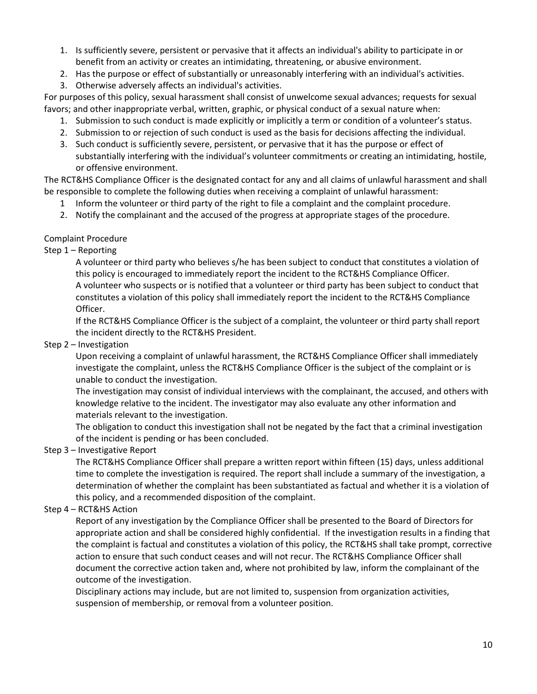- 1. Is sufficiently severe, persistent or pervasive that it affects an individual's ability to participate in or benefit from an activity or creates an intimidating, threatening, or abusive environment.
- 2. Has the purpose or effect of substantially or unreasonably interfering with an individual's activities.
- 3. Otherwise adversely affects an individual's activities.

For purposes of this policy, sexual harassment shall consist of unwelcome sexual advances; requests for sexual favors; and other inappropriate verbal, written, graphic, or physical conduct of a sexual nature when:

- 1. Submission to such conduct is made explicitly or implicitly a term or condition of a volunteer's status.
- 2. Submission to or rejection of such conduct is used as the basis for decisions affecting the individual.
- 3. Such conduct is sufficiently severe, persistent, or pervasive that it has the purpose or effect of substantially interfering with the individual's volunteer commitments or creating an intimidating, hostile, or offensive environment.

The RCT&HS Compliance Officer is the designated contact for any and all claims of unlawful harassment and shall be responsible to complete the following duties when receiving a complaint of unlawful harassment:

- 1 Inform the volunteer or third party of the right to file a complaint and the complaint procedure.
- 2. Notify the complainant and the accused of the progress at appropriate stages of the procedure.

# Complaint Procedure

# Step 1 – Reporting

A volunteer or third party who believes s/he has been subject to conduct that constitutes a violation of this policy is encouraged to immediately report the incident to the RCT&HS Compliance Officer. A volunteer who suspects or is notified that a volunteer or third party has been subject to conduct that constitutes a violation of this policy shall immediately report the incident to the RCT&HS Compliance Officer.

If the RCT&HS Compliance Officer is the subject of a complaint, the volunteer or third party shall report the incident directly to the RCT&HS President.

# Step 2 – Investigation

Upon receiving a complaint of unlawful harassment, the RCT&HS Compliance Officer shall immediately investigate the complaint, unless the RCT&HS Compliance Officer is the subject of the complaint or is unable to conduct the investigation.

The investigation may consist of individual interviews with the complainant, the accused, and others with knowledge relative to the incident. The investigator may also evaluate any other information and materials relevant to the investigation.

The obligation to conduct this investigation shall not be negated by the fact that a criminal investigation of the incident is pending or has been concluded.

# Step 3 – Investigative Report

The RCT&HS Compliance Officer shall prepare a written report within fifteen (15) days, unless additional time to complete the investigation is required. The report shall include a summary of the investigation, a determination of whether the complaint has been substantiated as factual and whether it is a violation of this policy, and a recommended disposition of the complaint.

# Step 4 – RCT&HS Action

Report of any investigation by the Compliance Officer shall be presented to the Board of Directors for appropriate action and shall be considered highly confidential. If the investigation results in a finding that the complaint is factual and constitutes a violation of this policy, the RCT&HS shall take prompt, corrective action to ensure that such conduct ceases and will not recur. The RCT&HS Compliance Officer shall document the corrective action taken and, where not prohibited by law, inform the complainant of the outcome of the investigation.

Disciplinary actions may include, but are not limited to, suspension from organization activities, suspension of membership, or removal from a volunteer position.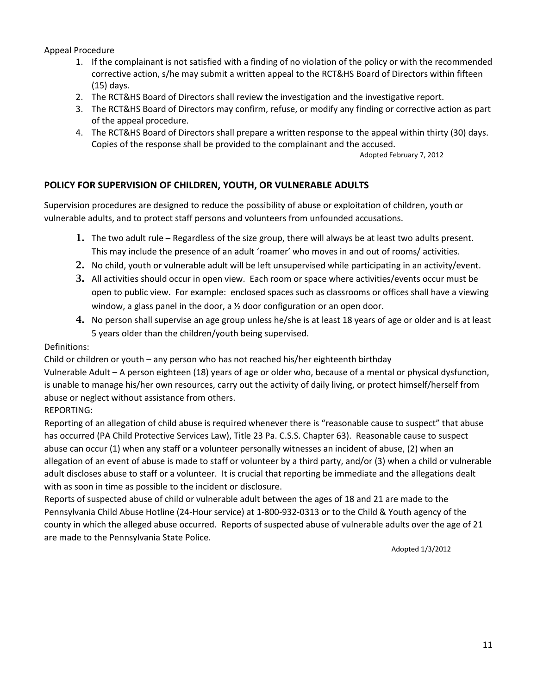Appeal Procedure

- 1. If the complainant is not satisfied with a finding of no violation of the policy or with the recommended corrective action, s/he may submit a written appeal to the RCT&HS Board of Directors within fifteen (15) days.
- 2. The RCT&HS Board of Directors shall review the investigation and the investigative report.
- 3. The RCT&HS Board of Directors may confirm, refuse, or modify any finding or corrective action as part of the appeal procedure.
- 4. The RCT&HS Board of Directors shall prepare a written response to the appeal within thirty (30) days. Copies of the response shall be provided to the complainant and the accused.

Adopted February 7, 2012

# **POLICY FOR SUPERVISION OF CHILDREN, YOUTH, OR VULNERABLE ADULTS**

Supervision procedures are designed to reduce the possibility of abuse or exploitation of children, youth or vulnerable adults, and to protect staff persons and volunteers from unfounded accusations.

- 1. The two adult rule Regardless of the size group, there will always be at least two adults present. This may include the presence of an adult 'roamer' who moves in and out of rooms/ activities.
- 2. No child, youth or vulnerable adult will be left unsupervised while participating in an activity/event.
- 3. All activities should occur in open view. Each room or space where activities/events occur must be open to public view. For example: enclosed spaces such as classrooms or offices shall have a viewing window, a glass panel in the door, a  $\frac{1}{2}$  door configuration or an open door.
- 4. No person shall supervise an age group unless he/she is at least 18 years of age or older and is at least 5 years older than the children/youth being supervised.

#### Definitions:

Child or children or youth – any person who has not reached his/her eighteenth birthday

Vulnerable Adult – A person eighteen (18) years of age or older who, because of a mental or physical dysfunction, is unable to manage his/her own resources, carry out the activity of daily living, or protect himself/herself from abuse or neglect without assistance from others.

# REPORTING:

Reporting of an allegation of child abuse is required whenever there is "reasonable cause to suspect" that abuse has occurred (PA Child Protective Services Law), Title 23 Pa. C.S.S. Chapter 63). Reasonable cause to suspect abuse can occur (1) when any staff or a volunteer personally witnesses an incident of abuse, (2) when an allegation of an event of abuse is made to staff or volunteer by a third party, and/or (3) when a child or vulnerable adult discloses abuse to staff or a volunteer. It is crucial that reporting be immediate and the allegations dealt with as soon in time as possible to the incident or disclosure.

Reports of suspected abuse of child or vulnerable adult between the ages of 18 and 21 are made to the Pennsylvania Child Abuse Hotline (24-Hour service) at 1-800-932-0313 or to the Child & Youth agency of the county in which the alleged abuse occurred. Reports of suspected abuse of vulnerable adults over the age of 21 are made to the Pennsylvania State Police.

Adopted 1/3/2012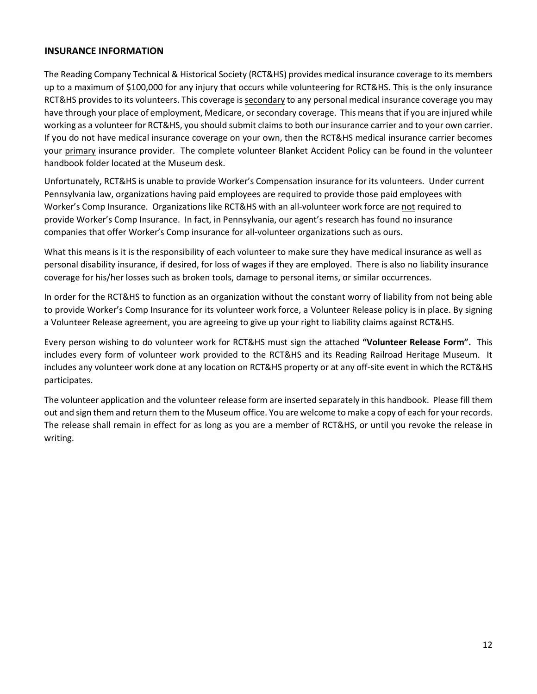#### **INSURANCE INFORMATION**

The Reading Company Technical & Historical Society (RCT&HS) provides medical insurance coverage to its members up to a maximum of \$100,000 for any injury that occurs while volunteering for RCT&HS. This is the only insurance RCT&HS provides to its volunteers. This coverage is secondary to any personal medical insurance coverage you may have through your place of employment, Medicare, or secondary coverage. This means that if you are injured while working as a volunteer for RCT&HS, you should submit claims to both our insurance carrier and to your own carrier. If you do not have medical insurance coverage on your own, then the RCT&HS medical insurance carrier becomes your primary insurance provider. The complete volunteer Blanket Accident Policy can be found in the volunteer handbook folder located at the Museum desk.

Unfortunately, RCT&HS is unable to provide Worker's Compensation insurance for its volunteers. Under current Pennsylvania law, organizations having paid employees are required to provide those paid employees with Worker's Comp Insurance. Organizations like RCT&HS with an all-volunteer work force are not required to provide Worker's Comp Insurance. In fact, in Pennsylvania, our agent's research has found no insurance companies that offer Worker's Comp insurance for all-volunteer organizations such as ours.

What this means is it is the responsibility of each volunteer to make sure they have medical insurance as well as personal disability insurance, if desired, for loss of wages if they are employed. There is also no liability insurance coverage for his/her losses such as broken tools, damage to personal items, or similar occurrences.

In order for the RCT&HS to function as an organization without the constant worry of liability from not being able to provide Worker's Comp Insurance for its volunteer work force, a Volunteer Release policy is in place. By signing a Volunteer Release agreement, you are agreeing to give up your right to liability claims against RCT&HS.

Every person wishing to do volunteer work for RCT&HS must sign the attached **"Volunteer Release Form".** This includes every form of volunteer work provided to the RCT&HS and its Reading Railroad Heritage Museum. It includes any volunteer work done at any location on RCT&HS property or at any off-site event in which the RCT&HS participates.

The volunteer application and the volunteer release form are inserted separately in this handbook. Please fill them out and sign them and return them to the Museum office. You are welcome to make a copy of each for your records. The release shall remain in effect for as long as you are a member of RCT&HS, or until you revoke the release in writing.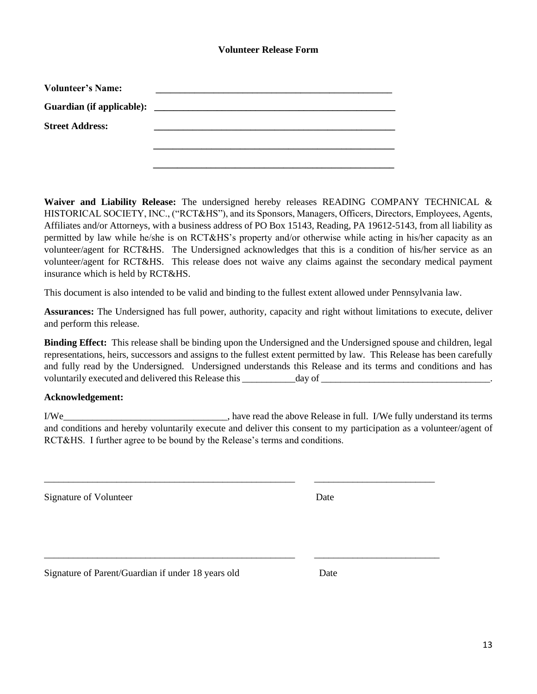#### **Volunteer Release Form**

| <b>Volunteer's Name:</b>  |                                                      |  |
|---------------------------|------------------------------------------------------|--|
| Guardian (if applicable): | <u> 2000 - Jan Barnett, fransk politik (d. 1888)</u> |  |
| <b>Street Address:</b>    |                                                      |  |
|                           |                                                      |  |
|                           |                                                      |  |

**Waiver and Liability Release:** The undersigned hereby releases READING COMPANY TECHNICAL & HISTORICAL SOCIETY, INC., ("RCT&HS"), and its Sponsors, Managers, Officers, Directors, Employees, Agents, Affiliates and/or Attorneys, with a business address of PO Box 15143, Reading, PA 19612-5143, from all liability as permitted by law while he/she is on RCT&HS's property and/or otherwise while acting in his/her capacity as an volunteer/agent for RCT&HS. The Undersigned acknowledges that this is a condition of his/her service as an volunteer/agent for RCT&HS. This release does not waive any claims against the secondary medical payment insurance which is held by RCT&HS.

This document is also intended to be valid and binding to the fullest extent allowed under Pennsylvania law.

**Assurances:** The Undersigned has full power, authority, capacity and right without limitations to execute, deliver and perform this release.

**Binding Effect:** This release shall be binding upon the Undersigned and the Undersigned spouse and children, legal representations, heirs, successors and assigns to the fullest extent permitted by law. This Release has been carefully and fully read by the Undersigned. Undersigned understands this Release and its terms and conditions and has voluntarily executed and delivered this Release this \_\_\_\_\_\_\_\_\_\_\_\_\_day of \_\_\_\_\_\_\_\_

# **Acknowledgement:**

I/We lease in full. I/We fully understand its terms in the above Release in full. I/We fully understand its terms and conditions and hereby voluntarily execute and deliver this consent to my participation as a volunteer/agent of RCT&HS. I further agree to be bound by the Release's terms and conditions.

\_\_\_\_\_\_\_\_\_\_\_\_\_\_\_\_\_\_\_\_\_\_\_\_\_\_\_\_\_\_\_\_\_\_\_\_\_\_\_\_\_\_\_\_\_\_\_\_\_\_\_\_ \_\_\_\_\_\_\_\_\_\_\_\_\_\_\_\_\_\_\_\_\_\_\_\_\_

\_\_\_\_\_\_\_\_\_\_\_\_\_\_\_\_\_\_\_\_\_\_\_\_\_\_\_\_\_\_\_\_\_\_\_\_\_\_\_\_\_\_\_\_\_\_\_\_\_\_\_\_ \_\_\_\_\_\_\_\_\_\_\_\_\_\_\_\_\_\_\_\_\_\_\_\_\_\_

Signature of Volunteer Date

Signature of Parent/Guardian if under 18 years old Date